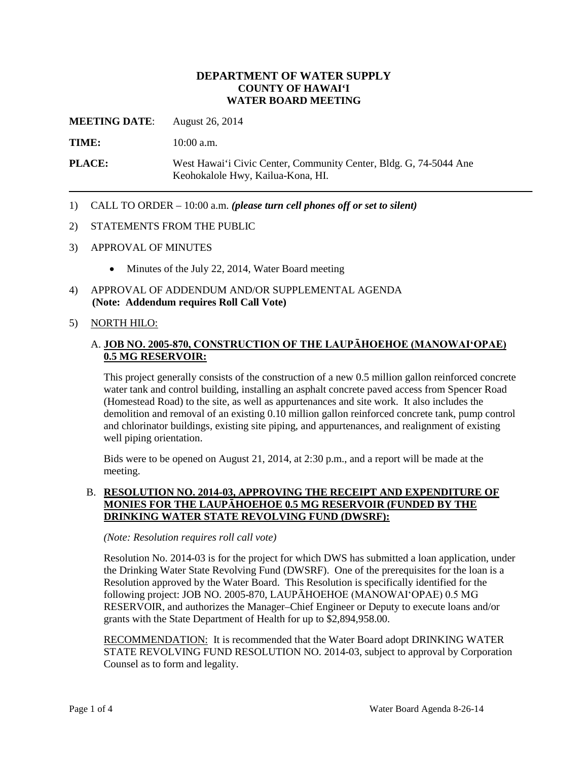# **DEPARTMENT OF WATER SUPPLY COUNTY OF HAWAI'I WATER BOARD MEETING**

**MEETING DATE**: August 26, 2014

**TIME:** 10:00 a.m.

**PLACE:** West Hawai'i Civic Center, Community Center, Bldg. G, 74-5044 Ane Keohokalole Hwy, Kailua-Kona, HI.

1) CALL TO ORDER – 10:00 a.m. *(please turn cell phones off or set to silent)*

### 2) STATEMENTS FROM THE PUBLIC

- 3) APPROVAL OF MINUTES
	- Minutes of the July 22, 2014, Water Board meeting
- 4) APPROVAL OF ADDENDUM AND/OR SUPPLEMENTAL AGENDA **(Note: Addendum requires Roll Call Vote)**

### 5) NORTH HILO:

# A. **JOB NO. 2005-870, CONSTRUCTION OF THE LAUPĀHOEHOE (MANOWAI'OPAE) 0.5 MG RESERVOIR:**

This project generally consists of the construction of a new 0.5 million gallon reinforced concrete water tank and control building, installing an asphalt concrete paved access from Spencer Road (Homestead Road) to the site, as well as appurtenances and site work. It also includes the demolition and removal of an existing 0.10 million gallon reinforced concrete tank, pump control and chlorinator buildings, existing site piping, and appurtenances, and realignment of existing well piping orientation.

Bids were to be opened on August 21, 2014, at 2:30 p.m., and a report will be made at the meeting.

## B. **RESOLUTION NO. 2014-03, APPROVING THE RECEIPT AND EXPENDITURE OF MONIES FOR THE LAUPĀHOEHOE 0.5 MG RESERVOIR (FUNDED BY THE DRINKING WATER STATE REVOLVING FUND (DWSRF):**

#### *(Note: Resolution requires roll call vote)*

Resolution No. 2014-03 is for the project for which DWS has submitted a loan application, under the Drinking Water State Revolving Fund (DWSRF). One of the prerequisites for the loan is a Resolution approved by the Water Board. This Resolution is specifically identified for the following project: JOB NO. 2005-870, LAUPĀHOEHOE (MANOWAI'OPAE) 0.5 MG RESERVOIR, and authorizes the Manager–Chief Engineer or Deputy to execute loans and/or grants with the State Department of Health for up to \$2,894,958.00.

RECOMMENDATION: It is recommended that the Water Board adopt DRINKING WATER STATE REVOLVING FUND RESOLUTION NO. 2014-03, subject to approval by Corporation Counsel as to form and legality.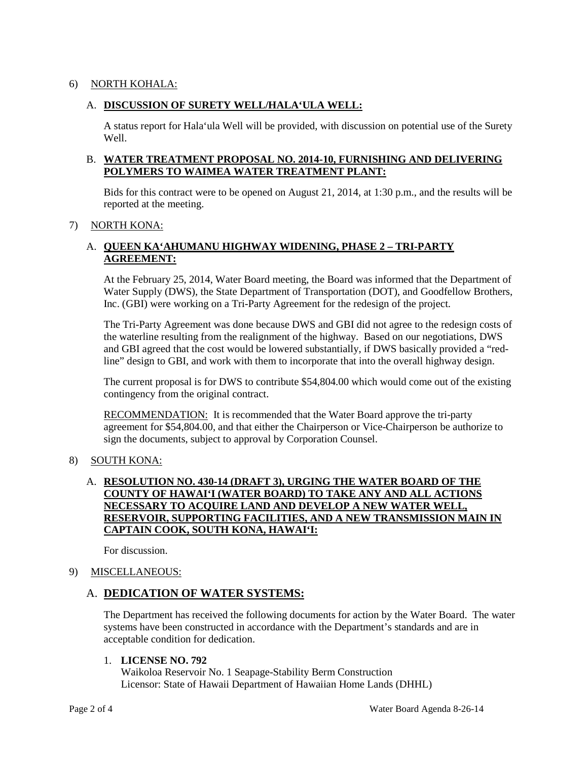# 6) NORTH KOHALA:

# A. **DISCUSSION OF SURETY WELL/HALA'ULA WELL:**

A status report for Hala'ula Well will be provided, with discussion on potential use of the Surety Well.

# B. **WATER TREATMENT PROPOSAL NO. 2014-10, FURNISHING AND DELIVERING POLYMERS TO WAIMEA WATER TREATMENT PLANT:**

Bids for this contract were to be opened on August 21, 2014, at 1:30 p.m., and the results will be reported at the meeting.

### 7) NORTH KONA:

# A. **QUEEN KA'AHUMANU HIGHWAY WIDENING, PHASE 2 – TRI-PARTY AGREEMENT:**

At the February 25, 2014, Water Board meeting, the Board was informed that the Department of Water Supply (DWS), the State Department of Transportation (DOT), and Goodfellow Brothers, Inc. (GBI) were working on a Tri-Party Agreement for the redesign of the project.

The Tri-Party Agreement was done because DWS and GBI did not agree to the redesign costs of the waterline resulting from the realignment of the highway. Based on our negotiations, DWS and GBI agreed that the cost would be lowered substantially, if DWS basically provided a "redline" design to GBI, and work with them to incorporate that into the overall highway design.

The current proposal is for DWS to contribute \$54,804.00 which would come out of the existing contingency from the original contract.

RECOMMENDATION: It is recommended that the Water Board approve the tri-party agreement for \$54,804.00, and that either the Chairperson or Vice-Chairperson be authorize to sign the documents, subject to approval by Corporation Counsel.

# 8) SOUTH KONA:

# A. **RESOLUTION NO. 430-14 (DRAFT 3), URGING THE WATER BOARD OF THE COUNTY OF HAWAI'I (WATER BOARD) TO TAKE ANY AND ALL ACTIONS NECESSARY TO ACQUIRE LAND AND DEVELOP A NEW WATER WELL, RESERVOIR, SUPPORTING FACILITIES, AND A NEW TRANSMISSION MAIN IN CAPTAIN COOK, SOUTH KONA, HAWAI'I:**

For discussion.

# 9) MISCELLANEOUS:

# A. **DEDICATION OF WATER SYSTEMS:**

The Department has received the following documents for action by the Water Board. The water systems have been constructed in accordance with the Department's standards and are in acceptable condition for dedication.

#### 1. **LICENSE NO. 792**

Waikoloa Reservoir No. 1 Seapage-Stability Berm Construction Licensor: State of Hawaii Department of Hawaiian Home Lands (DHHL)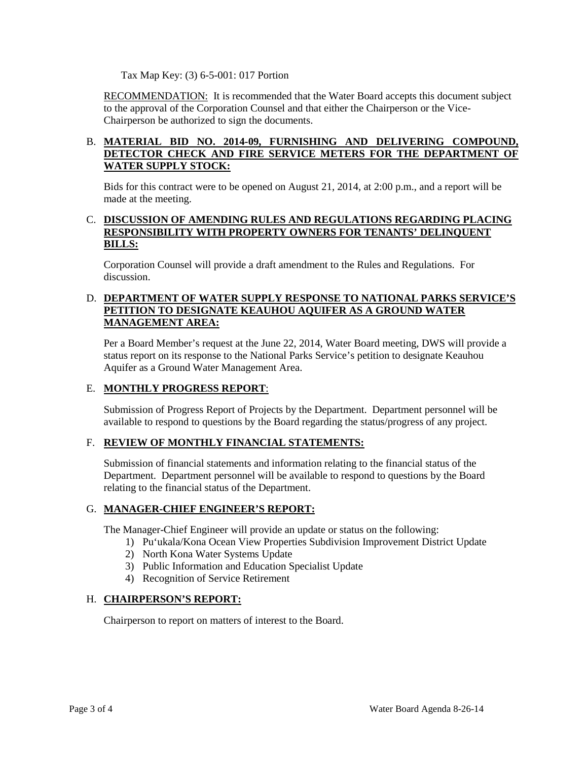Tax Map Key: (3) 6-5-001: 017 Portion

RECOMMENDATION: It is recommended that the Water Board accepts this document subject to the approval of the Corporation Counsel and that either the Chairperson or the Vice-Chairperson be authorized to sign the documents.

# B. **MATERIAL BID NO. 2014-09, FURNISHING AND DELIVERING COMPOUND, DETECTOR CHECK AND FIRE SERVICE METERS FOR THE DEPARTMENT OF WATER SUPPLY STOCK:**

Bids for this contract were to be opened on August 21, 2014, at 2:00 p.m., and a report will be made at the meeting.

# C. **DISCUSSION OF AMENDING RULES AND REGULATIONS REGARDING PLACING RESPONSIBILITY WITH PROPERTY OWNERS FOR TENANTS' DELINQUENT BILLS:**

Corporation Counsel will provide a draft amendment to the Rules and Regulations. For discussion.

# D. **DEPARTMENT OF WATER SUPPLY RESPONSE TO NATIONAL PARKS SERVICE'S PETITION TO DESIGNATE KEAUHOU AQUIFER AS A GROUND WATER MANAGEMENT AREA:**

Per a Board Member's request at the June 22, 2014, Water Board meeting, DWS will provide a status report on its response to the National Parks Service's petition to designate Keauhou Aquifer as a Ground Water Management Area.

# E. **MONTHLY PROGRESS REPORT**:

Submission of Progress Report of Projects by the Department. Department personnel will be available to respond to questions by the Board regarding the status/progress of any project.

# F. **REVIEW OF MONTHLY FINANCIAL STATEMENTS:**

Submission of financial statements and information relating to the financial status of the Department. Department personnel will be available to respond to questions by the Board relating to the financial status of the Department.

# G. **MANAGER-CHIEF ENGINEER'S REPORT:**

The Manager-Chief Engineer will provide an update or status on the following:

- 1) Pu'ukala/Kona Ocean View Properties Subdivision Improvement District Update
- 2) North Kona Water Systems Update
- 3) Public Information and Education Specialist Update
- 4) Recognition of Service Retirement

# H. **CHAIRPERSON'S REPORT:**

Chairperson to report on matters of interest to the Board.